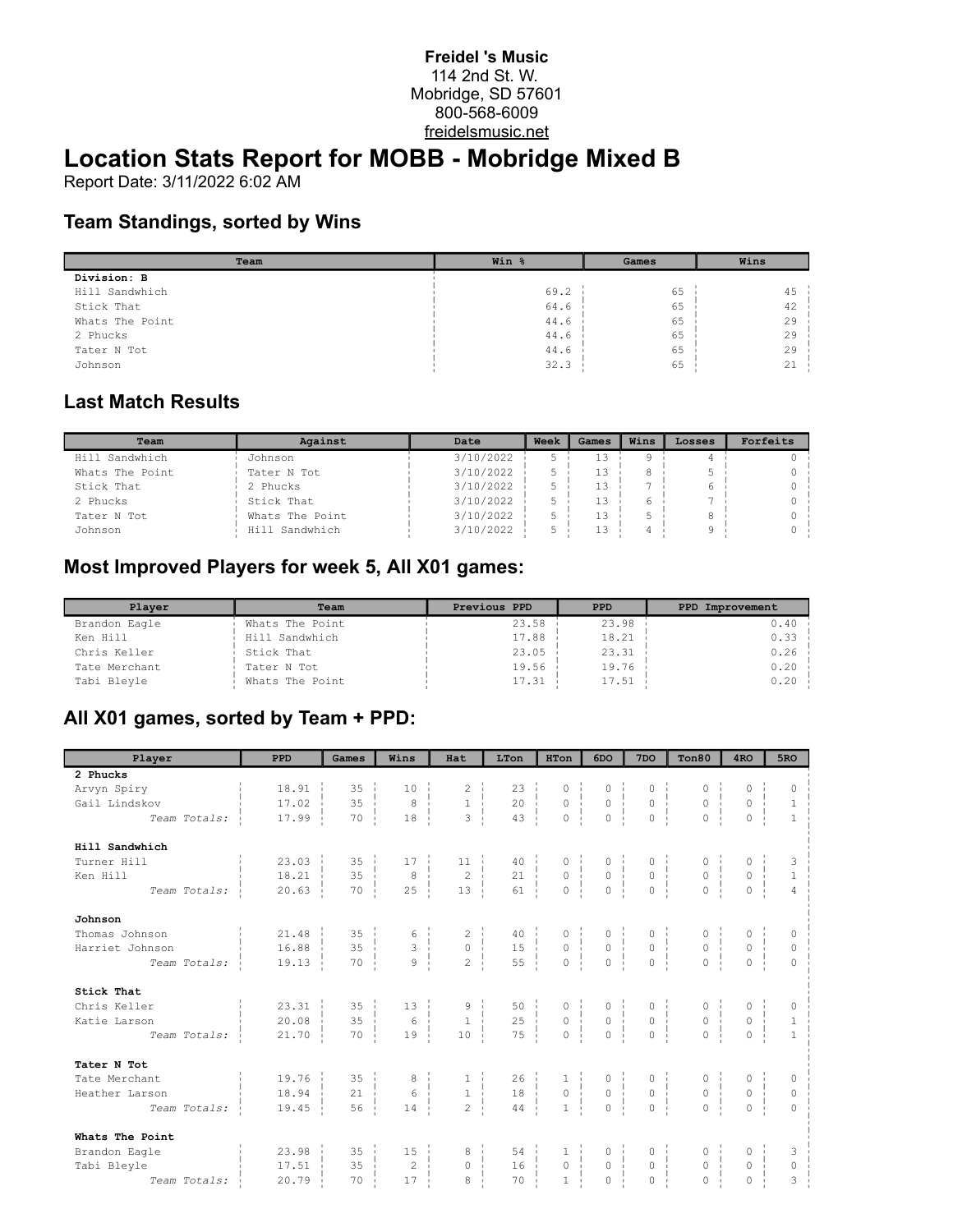#### **Freidel 's Music** 114 2nd St. W. Mobridge, SD 57601 800-568-6009 freidelsmusic.net

# **Location Stats Report for MOBB - Mobridge Mixed B**

Report Date: 3/11/2022 6:02 AM

#### **Team Standings, sorted by Wins**

| Team            | Win % | Games | Wins   |  |
|-----------------|-------|-------|--------|--|
| Division: B     |       |       |        |  |
| Hill Sandwhich  | 69.2  | 65    | $45 -$ |  |
| Stick That      | 64.6  | 65    | 42     |  |
| Whats The Point | 44.6  | 65    | 29     |  |
| 2 Phucks        | 44.6  | 65    | 29     |  |
| Tater N Tot     | 44.6  | 65    | 29     |  |
| Johnson         | 32.3  | 65    | 21     |  |

#### **Last Match Results**

| Team            | Against         | Date      | Week | Games | Wins | Losses | Forfeits |
|-----------------|-----------------|-----------|------|-------|------|--------|----------|
| Hill Sandwhich  | Johnson         | 3/10/2022 |      | 13    |      |        |          |
| Whats The Point | Tater N Tot     | 3/10/2022 |      | 1.3   |      |        |          |
| Stick That      | 2 Phucks        | 3/10/2022 |      | 13    |      |        |          |
| 2 Phucks        | Stick That      | 3/10/2022 |      | 1.3   |      |        |          |
| Tater N Tot     | Whats The Point | 3/10/2022 |      | 13    |      |        |          |
| Johnson         | Hill Sandwhich  | 3/10/2022 |      | 13    |      |        |          |

## **Most Improved Players for week 5, All X01 games:**

| Player        | Team            | Previous PPD | <b>PPD</b> | PPD Improvement |
|---------------|-----------------|--------------|------------|-----------------|
| Brandon Eagle | Whats The Point | 23.58        | 23.98      | 0.40            |
| Ken Hill      | Hill Sandwhich  | 17.88        | 18.21      | 0.33            |
| Chris Keller  | Stick That      | 23.05        | 23.31      | 0.26            |
| Tate Merchant | Tater N Tot     | 19.56        | 19.76      | 0.20            |
| Tabi Bleyle   | Whats The Point | 17.31        | 17.51      | 0.20            |

## **All X01 games, sorted by Team + PPD:**

| Player          | PPD                   | Games               | Wins                                       | Hat                                                                         | LTon                                                                                | HTon                                                 | 6DO                                                              | 7 <sub>DO</sub>                                                      | Ton80                                                  | 4 <sub>RO</sub>                                                      | 5 <sub>RO</sub>                       |
|-----------------|-----------------------|---------------------|--------------------------------------------|-----------------------------------------------------------------------------|-------------------------------------------------------------------------------------|------------------------------------------------------|------------------------------------------------------------------|----------------------------------------------------------------------|--------------------------------------------------------|----------------------------------------------------------------------|---------------------------------------|
| 2 Phucks        |                       |                     |                                            |                                                                             |                                                                                     |                                                      |                                                                  |                                                                      |                                                        |                                                                      |                                       |
| Arvyn Spiry     | 18.91                 | $35 - i$            | $10-1$                                     | $\begin{array}{c} 2 \\ 1 \\ 3 \end{array}$                                  | $23 - 1$                                                                            | $\begin{array}{c} 0 \\ 0 \\ \vdots \\ 0 \end{array}$ | $\begin{array}{c}\n0 \\ 0 \\ \hline\n-1\n\end{array}$            | $\begin{matrix} 0 & \vdots \\ 0 & \vdots \end{matrix}$               |                                                        | 0                                                                    | $\Omega$                              |
| Gail Lindskov   | 17.02                 | 35<br>÷             | $^{\circ}$                                 |                                                                             | $\begin{array}{c c}\n 23 & 1 \\  20 & 1 \\  \hline\n 2 & 1\n \end{array}$           |                                                      |                                                                  | $\frac{1}{1}$                                                        | $\begin{array}{c} 0 \\ 0 \\ \vdots \\ 0 \end{array}$   | $\begin{matrix} 0 &   &   \\ 0 &   &   \\ 0 &   &   \end{matrix}$    | $\begin{array}{c} 1 \\ 1 \end{array}$ |
| Team Totals:    | 17.99                 | 70                  | 18                                         |                                                                             |                                                                                     |                                                      |                                                                  | $\overline{0}$                                                       |                                                        |                                                                      |                                       |
| Hill Sandwhich  |                       |                     |                                            |                                                                             |                                                                                     |                                                      |                                                                  |                                                                      |                                                        |                                                                      |                                       |
| Turner Hill     | $23.03 \pm$           | $35 -$              | $17 - i$                                   | $11 - i$                                                                    | $\begin{array}{c c}\n40 & 1 \\ 21 & 1 \\ \hline\n\end{array}$                       |                                                      | $\begin{array}{c} 0 \\ 0 \\ 1 \\ 0 \\ \vdots \end{array}$        |                                                                      |                                                        |                                                                      |                                       |
| Ken Hill        | 18.21                 | 35<br>÷             | $_{\rm 8}$                                 | $\begin{array}{c c}\n12 & + \\ 2 & + \\ 13 & + \n\end{array}$               |                                                                                     | $\begin{array}{c} 0 \\ 0 \\ \vdots \\ 0 \end{array}$ |                                                                  | $\begin{matrix} 0 & 1 \\ 0 & 1 \\ 0 & 1 \end{matrix}$                | $\begin{array}{c}\n0 \\ 0 \\ \vdots \\ 0\n\end{array}$ | $\begin{matrix} 0 & \vdots \\ 0 & \vdots \\ 0 & \vdots \end{matrix}$ | $\bar{1}$                             |
| Team Totals:    | 20.63                 | 70                  | 25                                         |                                                                             |                                                                                     |                                                      |                                                                  |                                                                      |                                                        |                                                                      | $\overline{4}$                        |
| Johnson         |                       |                     |                                            |                                                                             |                                                                                     |                                                      |                                                                  |                                                                      |                                                        |                                                                      |                                       |
| Thomas Johnson  | 21.48                 | $35 \frac{1}{2}$    |                                            |                                                                             |                                                                                     |                                                      |                                                                  |                                                                      |                                                        |                                                                      |                                       |
| Harriet Johnson | 16.88<br>$\sim$ 1.    | 35<br>$\frac{1}{1}$ | $\begin{array}{c} 6 \\ 3 \\ 9 \end{array}$ | $\begin{array}{c} 2 \\ 0 \\ 2 \end{array}$                                  |                                                                                     | $\begin{array}{c} 0 \\ 0 \\ \vdots \\ 0 \end{array}$ | $\begin{array}{c} 0 \\ 0 \\ \vdots \\ 0 \end{array}$             | $\begin{matrix} 0 & \vdots \\ 0 & \vdots \\ 0 & \vdots \end{matrix}$ | $\begin{array}{c} 0 \\ 0 \\ \vdots \\ 0 \end{array}$   | $\begin{matrix} 0 & \vdots \\ 0 & \vdots \\ 0 & \vdots \end{matrix}$ | $\circ$                               |
| Team Totals:    | 19.13                 | 70                  |                                            |                                                                             | $\begin{array}{c c} 40 &   &   &   \\ 15 &   &   &   \\ 55 &   &   &   \end{array}$ |                                                      |                                                                  |                                                                      |                                                        |                                                                      | $\Omega$                              |
| Stick That      |                       |                     |                                            |                                                                             |                                                                                     |                                                      |                                                                  |                                                                      |                                                        |                                                                      |                                       |
| Chris Keller    | 23.31                 | $35 \frac{1}{2}$    | $13 -$                                     | $\begin{array}{c c}\n9 & \uparrow \\ 1 & \downarrow \\ \hline\n\end{array}$ | $\begin{bmatrix} 50 \\ 25 \\ -1 \end{bmatrix}$                                      | $\begin{array}{c} 0 \\ 0 \\ \vdots \\ 0 \end{array}$ | $\begin{array}{c} 0 \\ 0 \\ \hline 1 \\ 0 \\ \vdots \end{array}$ |                                                                      |                                                        |                                                                      |                                       |
| Katie Larson    | 20.08<br>- il         | 35                  | $6 \frac{1}{2}$<br>÷                       |                                                                             |                                                                                     |                                                      |                                                                  | $\begin{matrix} 0 & 1 \\ 0 & 1 \\ 0 & 1 \end{matrix}$                | $\begin{array}{c} 0 \\ 0 \\ \vdots \\ 0 \end{array}$   | $\begin{matrix} 0 \\ 0 \\ \vdots \\ 0 \end{matrix}$                  | $\overline{1}$                        |
| Team Totals:    | 21.70                 | 70                  | 19                                         | $10 -$                                                                      |                                                                                     |                                                      |                                                                  |                                                                      |                                                        |                                                                      | $\overline{1}$                        |
| Tater N Tot     |                       |                     |                                            |                                                                             |                                                                                     |                                                      |                                                                  |                                                                      |                                                        |                                                                      |                                       |
| Tate Merchant   | 19.76                 | $35 \frac{1}{2}$    |                                            |                                                                             | $26$  <br>18                                                                        | $\begin{array}{c} 1\\0\\1\\ \end{array}$             | $\begin{array}{c} 0 \\ 0 \\ \vdots \\ 0 \end{array}$             |                                                                      |                                                        |                                                                      |                                       |
| Heather Larson  | 18.94                 | 21                  | $6 \frac{1}{ }$                            | $\begin{array}{c} 1\\ 1\\ 2\\ \end{array}$                                  |                                                                                     |                                                      |                                                                  | $\begin{array}{c}\n0 \\ 0 \\ \end{array}$                            | $\begin{array}{c} 0 \\ 0 \\ \vdots \\ 0 \end{array}$   | $\begin{matrix} 0 & \vdots \\ 0 & \vdots \end{matrix}$               | $\circ$                               |
| Team Totals:    | 19.45                 | 56                  | 14                                         |                                                                             | 44                                                                                  |                                                      |                                                                  |                                                                      |                                                        |                                                                      | $\cap$                                |
| Whats The Point |                       |                     |                                            |                                                                             |                                                                                     |                                                      |                                                                  |                                                                      |                                                        |                                                                      |                                       |
| Brandon Eagle   | $23.98$ $\frac{1}{2}$ | 35                  | $15 -$                                     | 8 <sub>1</sub>                                                              | 54                                                                                  |                                                      |                                                                  |                                                                      |                                                        |                                                                      |                                       |
| Tabi Bleyle     | 17.51                 | ÷<br>35             | $2^+$                                      | $0 \quad \frac{1}{2}$                                                       | $\frac{16}{16}$                                                                     | $\begin{array}{c} 1\\0\\1\\ \end{array}$             | $\begin{matrix} 0 & \vdots \\ 0 & \vdots \end{matrix}$           | $\begin{matrix} 0 & \vdots \\ 0 & \vdots \end{matrix}$               | $\begin{matrix} 0 & \vdots \\ 0 & \vdots \end{matrix}$ | $\begin{matrix} 0 & \vdots \\ 0 & \vdots \end{matrix}$               | $\circ$                               |
| Team Totals:    | 20.79                 | 70                  | 17                                         | 8                                                                           | 70                                                                                  |                                                      | 0 <sup>1</sup>                                                   | $\overline{0}$                                                       | $\Omega$                                               | $\Omega$                                                             | 3                                     |